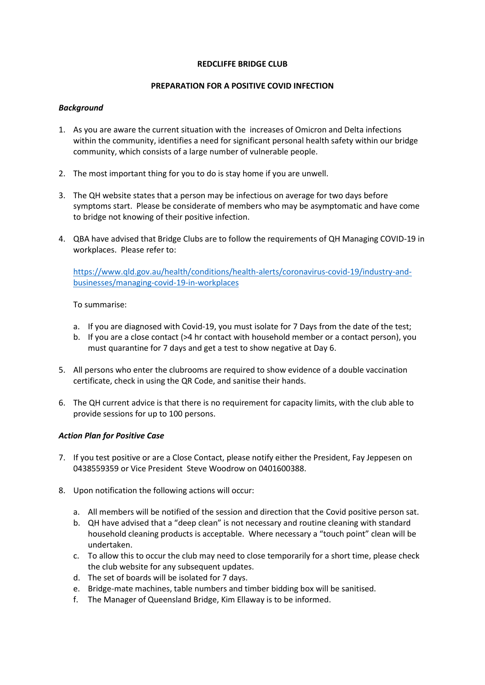#### **REDCLIFFE BRIDGE CLUB**

# **PREPARATION FOR A POSITIVE COVID INFECTION**

# *Background*

- 1. As you are aware the current situation with the increases of Omicron and Delta infections within the community, identifies a need for significant personal health safety within our bridge community, which consists of a large number of vulnerable people.
- 2. The most important thing for you to do is stay home if you are unwell.
- 3. The QH website states that a person may be infectious on average for two days before symptoms start. Please be considerate of members who may be asymptomatic and have come to bridge not knowing of their positive infection.
- 4. QBA have advised that Bridge Clubs are to follow the requirements of QH Managing COVID-19 in workplaces. Please refer to:

[https://www.qld.gov.au/health/conditions/health-alerts/coronavirus-covid-19/industry-and](https://www.qld.gov.au/health/conditions/health-alerts/coronavirus-covid-19/industry-and-businesses/managing-covid-19-in-workplaces)[businesses/managing-covid-19-in-workplaces](https://www.qld.gov.au/health/conditions/health-alerts/coronavirus-covid-19/industry-and-businesses/managing-covid-19-in-workplaces)

To summarise:

- a. If you are diagnosed with Covid-19, you must isolate for 7 Days from the date of the test;
- b. If you are a close contact (>4 hr contact with household member or a contact person), you must quarantine for 7 days and get a test to show negative at Day 6.
- 5. All persons who enter the clubrooms are required to show evidence of a double vaccination certificate, check in using the QR Code, and sanitise their hands.
- 6. The QH current advice is that there is no requirement for capacity limits, with the club able to provide sessions for up to 100 persons.

# *Action Plan for Positive Case*

- 7. If you test positive or are a Close Contact, please notify either the President, Fay Jeppesen on 0438559359 or Vice President Steve Woodrow on 0401600388.
- 8. Upon notification the following actions will occur:
	- a. All members will be notified of the session and direction that the Covid positive person sat.
	- b. QH have advised that a "deep clean" is not necessary and routine cleaning with standard household cleaning products is acceptable. Where necessary a "touch point" clean will be undertaken.
	- c. To allow this to occur the club may need to close temporarily for a short time, please check the club website for any subsequent updates.
	- d. The set of boards will be isolated for 7 days.
	- e. Bridge-mate machines, table numbers and timber bidding box will be sanitised.
	- f. The Manager of Queensland Bridge, Kim Ellaway is to be informed.